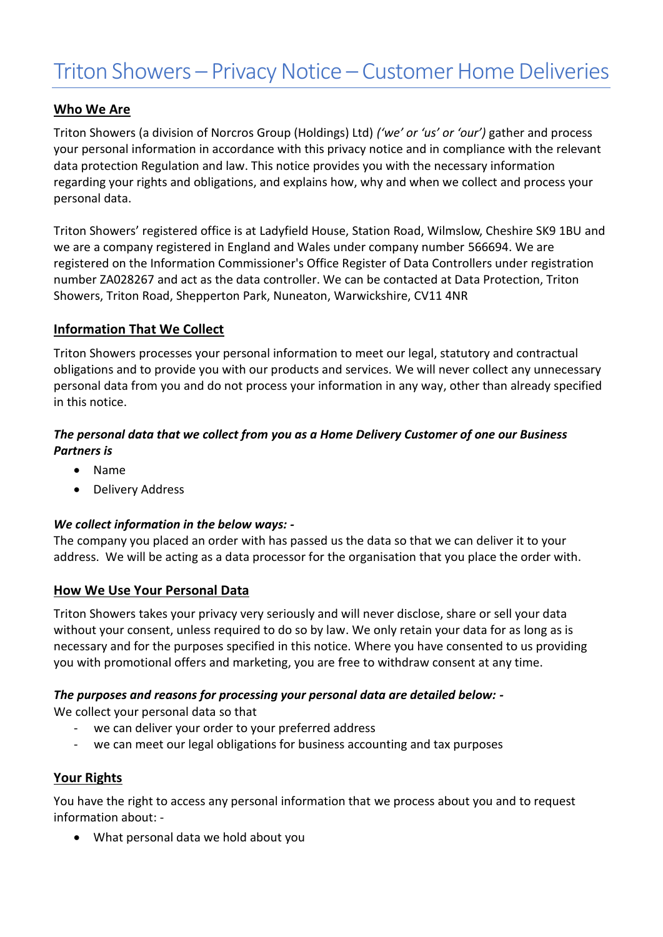### **Who We Are**

Triton Showers (a division of Norcros Group (Holdings) Ltd) *('we' or 'us' or 'our')* gather and process your personal information in accordance with this privacy notice and in compliance with the relevant data protection Regulation and law. This notice provides you with the necessary information regarding your rights and obligations, and explains how, why and when we collect and process your personal data.

Triton Showers' registered office is at Ladyfield House, Station Road, Wilmslow, Cheshire SK9 1BU and we are a company registered in England and Wales under company number 566694. We are registered on the Information Commissioner's Office Register of Data Controllers under registration number ZA028267 and act as the data controller. We can be contacted at Data Protection, Triton Showers, Triton Road, Shepperton Park, Nuneaton, Warwickshire, CV11 4NR

### **Information That We Collect**

Triton Showers processes your personal information to meet our legal, statutory and contractual obligations and to provide you with our products and services. We will never collect any unnecessary personal data from you and do not process your information in any way, other than already specified in this notice.

# *The personal data that we collect from you as a Home Delivery Customer of one our Business Partners is*

- Name
- Delivery Address

### *We collect information in the below ways: -*

The company you placed an order with has passed us the data so that we can deliver it to your address. We will be acting as a data processor for the organisation that you place the order with.

### **How We Use Your Personal Data**

Triton Showers takes your privacy very seriously and will never disclose, share or sell your data without your consent, unless required to do so by law. We only retain your data for as long as is necessary and for the purposes specified in this notice. Where you have consented to us providing you with promotional offers and marketing, you are free to withdraw consent at any time.

### *The purposes and reasons for processing your personal data are detailed below: -*

We collect your personal data so that

- we can deliver your order to your preferred address
- we can meet our legal obligations for business accounting and tax purposes

# **Your Rights**

You have the right to access any personal information that we process about you and to request information about: -

• What personal data we hold about you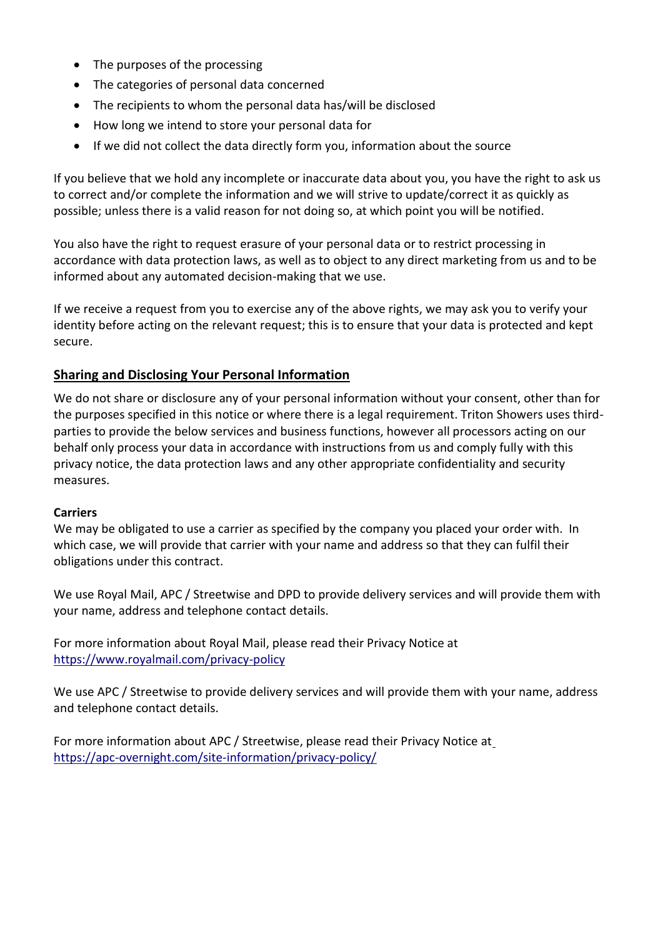- The purposes of the processing
- The categories of personal data concerned
- The recipients to whom the personal data has/will be disclosed
- How long we intend to store your personal data for
- If we did not collect the data directly form you, information about the source

If you believe that we hold any incomplete or inaccurate data about you, you have the right to ask us to correct and/or complete the information and we will strive to update/correct it as quickly as possible; unless there is a valid reason for not doing so, at which point you will be notified.

You also have the right to request erasure of your personal data or to restrict processing in accordance with data protection laws, as well as to object to any direct marketing from us and to be informed about any automated decision-making that we use.

If we receive a request from you to exercise any of the above rights, we may ask you to verify your identity before acting on the relevant request; this is to ensure that your data is protected and kept secure.

### **Sharing and Disclosing Your Personal Information**

We do not share or disclosure any of your personal information without your consent, other than for the purposes specified in this notice or where there is a legal requirement. Triton Showers uses thirdparties to provide the below services and business functions, however all processors acting on our behalf only process your data in accordance with instructions from us and comply fully with this privacy notice, the data protection laws and any other appropriate confidentiality and security measures.

### **Carriers**

We may be obligated to use a carrier as specified by the company you placed your order with. In which case, we will provide that carrier with your name and address so that they can fulfil their obligations under this contract.

We use Royal Mail, APC / Streetwise and DPD to provide delivery services and will provide them with your name, address and telephone contact details.

For more information about Royal Mail, please read their Privacy Notice at [https://www.royalmail.com/privacy-policy](https://support.google.com/analytics/answer/6004245?hl=en)

We use APC / Streetwise to provide delivery services and will provide them with your name, address and telephone contact details.

For more information about APC / Streetwise, please read their Privacy Notice a[t](https://apc-overnight.com/site-information/privacy-policy/) <https://apc-overnight.com/site-information/privacy-policy/>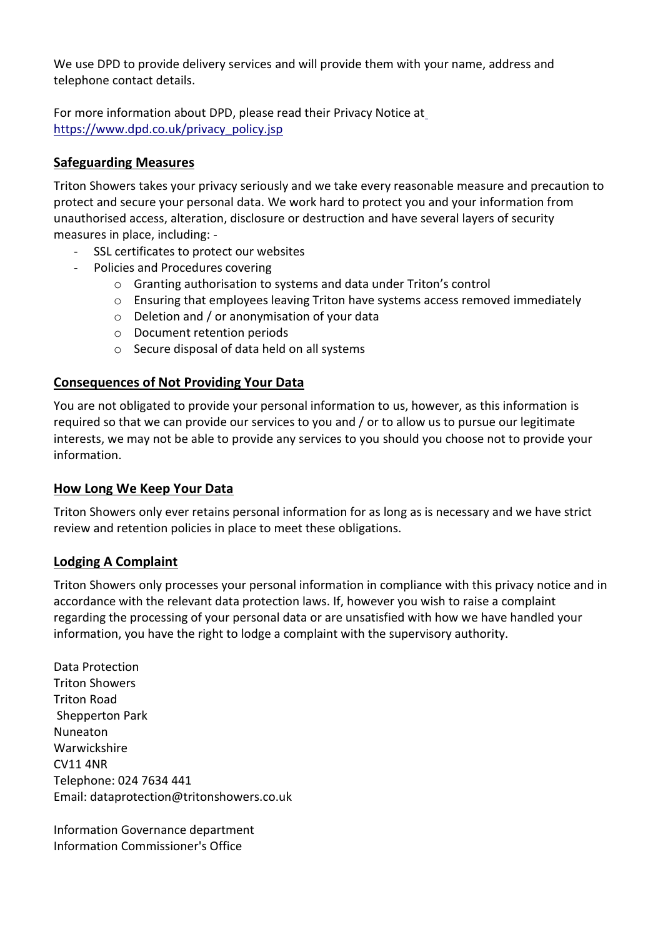We use DPD to provide delivery services and will provide them with your name, address and telephone contact details.

For more information about DPD, please read their Privacy Notice a[t](https://apc-overnight.com/site-information/privacy-policy/) [https://www.dpd.co.uk/privacy\\_policy.jsp](https://www.dpd.co.uk/privacy_policy.jsp)

## **Safeguarding Measures**

Triton Showers takes your privacy seriously and we take every reasonable measure and precaution to protect and secure your personal data. We work hard to protect you and your information from unauthorised access, alteration, disclosure or destruction and have several layers of security measures in place, including: -

- SSL certificates to protect our websites
	- Policies and Procedures covering
		- o Granting authorisation to systems and data under Triton's control
		- $\circ$  Ensuring that employees leaving Triton have systems access removed immediately
		- o Deletion and / or anonymisation of your data
		- o Document retention periods
		- o Secure disposal of data held on all systems

### **Consequences of Not Providing Your Data**

You are not obligated to provide your personal information to us, however, as this information is required so that we can provide our services to you and / or to allow us to pursue our legitimate interests, we may not be able to provide any services to you should you choose not to provide your information.

### **How Long We Keep Your Data**

Triton Showers only ever retains personal information for as long as is necessary and we have strict review and retention policies in place to meet these obligations.

### **Lodging A Complaint**

Triton Showers only processes your personal information in compliance with this privacy notice and in accordance with the relevant data protection laws. If, however you wish to raise a complaint regarding the processing of your personal data or are unsatisfied with how we have handled your information, you have the right to lodge a complaint with the supervisory authority.

Data Protection Triton Showers Triton Road Shepperton Park Nuneaton Warwickshire CV11 4NR Telephone: 024 7634 441 Email: dataprotection@tritonshowers.co.uk

Information Governance department Information Commissioner's Office